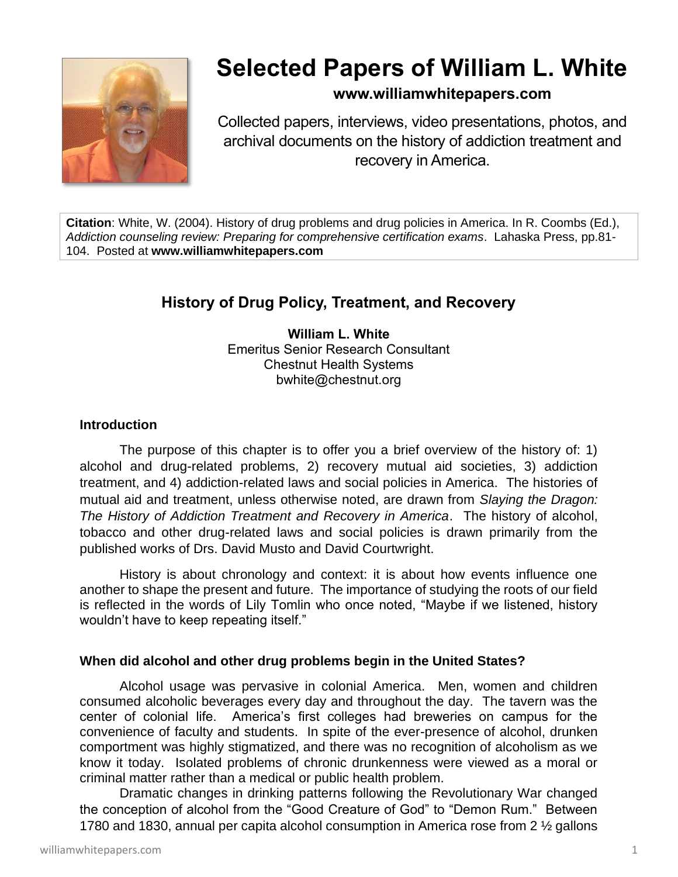

# **Selected Papers of William L. White**

# **www.williamwhitepapers.com**

Collected papers, interviews, video presentations, photos, and archival documents on the history of addiction treatment and recovery in America.

**Citation**: White, W. (2004). History of drug problems and drug policies in America. In R. Coombs (Ed.), *Addiction counseling review: Preparing for comprehensive certification exams*. Lahaska Press, pp.81- 104. Posted at **www.williamwhitepapers.com**

# **History of Drug Policy, Treatment, and Recovery**

**William L. White** Emeritus Senior Research Consultant Chestnut Health Systems bwhite@chestnut.org

# **Introduction**

The purpose of this chapter is to offer you a brief overview of the history of: 1) alcohol and drug-related problems, 2) recovery mutual aid societies, 3) addiction treatment, and 4) addiction-related laws and social policies in America. The histories of mutual aid and treatment, unless otherwise noted, are drawn from *Slaying the Dragon: The History of Addiction Treatment and Recovery in America*. The history of alcohol, tobacco and other drug-related laws and social policies is drawn primarily from the published works of Drs. David Musto and David Courtwright.

History is about chronology and context: it is about how events influence one another to shape the present and future. The importance of studying the roots of our field is reflected in the words of Lily Tomlin who once noted, "Maybe if we listened, history wouldn't have to keep repeating itself."

# **When did alcohol and other drug problems begin in the United States?**

Alcohol usage was pervasive in colonial America. Men, women and children consumed alcoholic beverages every day and throughout the day. The tavern was the center of colonial life. America's first colleges had breweries on campus for the convenience of faculty and students. In spite of the ever-presence of alcohol, drunken comportment was highly stigmatized, and there was no recognition of alcoholism as we know it today. Isolated problems of chronic drunkenness were viewed as a moral or criminal matter rather than a medical or public health problem.

Dramatic changes in drinking patterns following the Revolutionary War changed the conception of alcohol from the "Good Creature of God" to "Demon Rum." Between 1780 and 1830, annual per capita alcohol consumption in America rose from 2 ½ gallons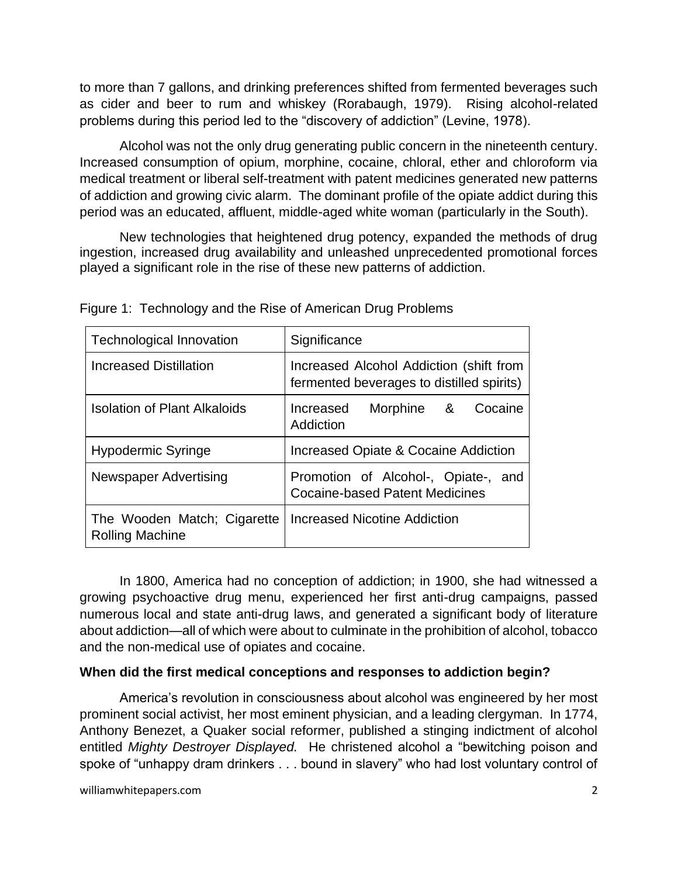to more than 7 gallons, and drinking preferences shifted from fermented beverages such as cider and beer to rum and whiskey (Rorabaugh, 1979). Rising alcohol-related problems during this period led to the "discovery of addiction" (Levine, 1978).

Alcohol was not the only drug generating public concern in the nineteenth century. Increased consumption of opium, morphine, cocaine, chloral, ether and chloroform via medical treatment or liberal self-treatment with patent medicines generated new patterns of addiction and growing civic alarm. The dominant profile of the opiate addict during this period was an educated, affluent, middle-aged white woman (particularly in the South).

New technologies that heightened drug potency, expanded the methods of drug ingestion, increased drug availability and unleashed unprecedented promotional forces played a significant role in the rise of these new patterns of addiction.

| <b>Technological Innovation</b>                       | Significance                                                                         |
|-------------------------------------------------------|--------------------------------------------------------------------------------------|
| <b>Increased Distillation</b>                         | Increased Alcohol Addiction (shift from<br>fermented beverages to distilled spirits) |
| <b>Isolation of Plant Alkaloids</b>                   | Increased<br>Morphine &<br>Cocaine<br>Addiction                                      |
| <b>Hypodermic Syringe</b>                             | Increased Opiate & Cocaine Addiction                                                 |
| <b>Newspaper Advertising</b>                          | Promotion of Alcohol-, Opiate-, and<br><b>Cocaine-based Patent Medicines</b>         |
| The Wooden Match; Cigarette<br><b>Rolling Machine</b> | Increased Nicotine Addiction                                                         |

Figure 1: Technology and the Rise of American Drug Problems

In 1800, America had no conception of addiction; in 1900, she had witnessed a growing psychoactive drug menu, experienced her first anti-drug campaigns, passed numerous local and state anti-drug laws, and generated a significant body of literature about addiction—all of which were about to culminate in the prohibition of alcohol, tobacco and the non-medical use of opiates and cocaine.

# **When did the first medical conceptions and responses to addiction begin?**

America's revolution in consciousness about alcohol was engineered by her most prominent social activist, her most eminent physician, and a leading clergyman. In 1774, Anthony Benezet, a Quaker social reformer, published a stinging indictment of alcohol entitled *Mighty Destroyer Displayed.* He christened alcohol a "bewitching poison and spoke of "unhappy dram drinkers . . . bound in slavery" who had lost voluntary control of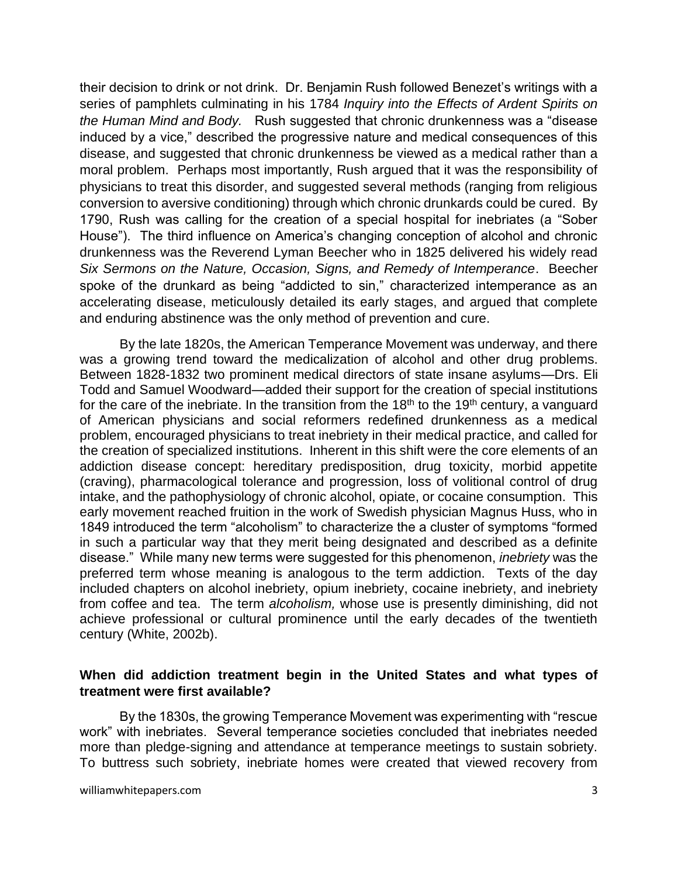their decision to drink or not drink. Dr. Benjamin Rush followed Benezet's writings with a series of pamphlets culminating in his 1784 *Inquiry into the Effects of Ardent Spirits on the Human Mind and Body.* Rush suggested that chronic drunkenness was a "disease induced by a vice," described the progressive nature and medical consequences of this disease, and suggested that chronic drunkenness be viewed as a medical rather than a moral problem. Perhaps most importantly, Rush argued that it was the responsibility of physicians to treat this disorder, and suggested several methods (ranging from religious conversion to aversive conditioning) through which chronic drunkards could be cured. By 1790, Rush was calling for the creation of a special hospital for inebriates (a "Sober House"). The third influence on America's changing conception of alcohol and chronic drunkenness was the Reverend Lyman Beecher who in 1825 delivered his widely read *Six Sermons on the Nature, Occasion, Signs, and Remedy of Intemperance*. Beecher spoke of the drunkard as being "addicted to sin," characterized intemperance as an accelerating disease, meticulously detailed its early stages, and argued that complete and enduring abstinence was the only method of prevention and cure.

By the late 1820s, the American Temperance Movement was underway, and there was a growing trend toward the medicalization of alcohol and other drug problems. Between 1828-1832 two prominent medical directors of state insane asylums—Drs. Eli Todd and Samuel Woodward—added their support for the creation of special institutions for the care of the inebriate. In the transition from the  $18<sup>th</sup>$  to the  $19<sup>th</sup>$  century, a vanguard of American physicians and social reformers redefined drunkenness as a medical problem, encouraged physicians to treat inebriety in their medical practice, and called for the creation of specialized institutions. Inherent in this shift were the core elements of an addiction disease concept: hereditary predisposition, drug toxicity, morbid appetite (craving), pharmacological tolerance and progression, loss of volitional control of drug intake, and the pathophysiology of chronic alcohol, opiate, or cocaine consumption. This early movement reached fruition in the work of Swedish physician Magnus Huss, who in 1849 introduced the term "alcoholism" to characterize the a cluster of symptoms "formed in such a particular way that they merit being designated and described as a definite disease." While many new terms were suggested for this phenomenon, *inebriety* was the preferred term whose meaning is analogous to the term addiction. Texts of the day included chapters on alcohol inebriety, opium inebriety, cocaine inebriety, and inebriety from coffee and tea. The term *alcoholism,* whose use is presently diminishing, did not achieve professional or cultural prominence until the early decades of the twentieth century (White, 2002b).

# **When did addiction treatment begin in the United States and what types of treatment were first available?**

By the 1830s, the growing Temperance Movement was experimenting with "rescue work" with inebriates. Several temperance societies concluded that inebriates needed more than pledge-signing and attendance at temperance meetings to sustain sobriety. To buttress such sobriety, inebriate homes were created that viewed recovery from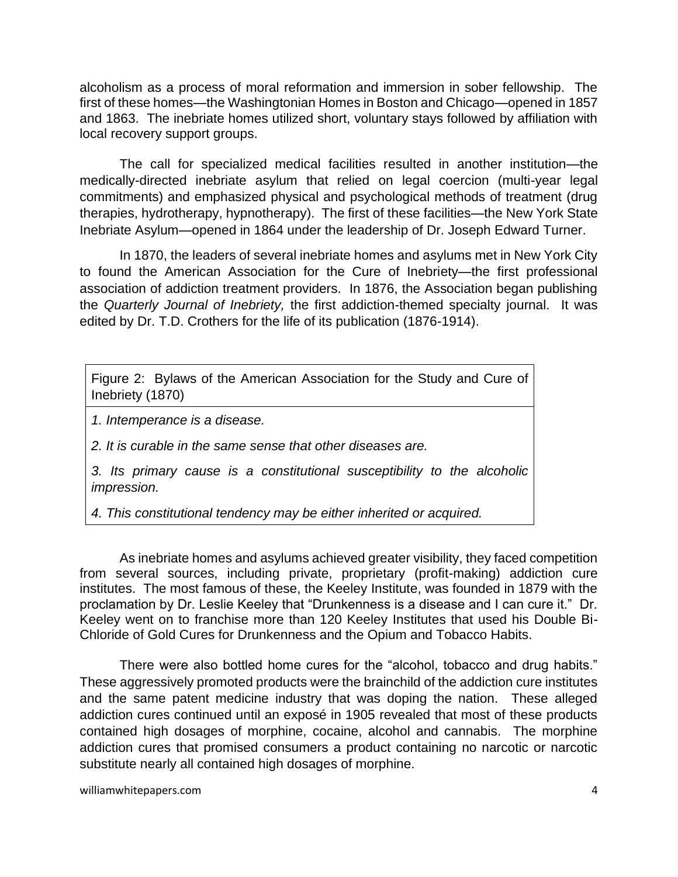alcoholism as a process of moral reformation and immersion in sober fellowship. The first of these homes—the Washingtonian Homes in Boston and Chicago—opened in 1857 and 1863. The inebriate homes utilized short, voluntary stays followed by affiliation with local recovery support groups.

 The call for specialized medical facilities resulted in another institution—the medically-directed inebriate asylum that relied on legal coercion (multi-year legal commitments) and emphasized physical and psychological methods of treatment (drug therapies, hydrotherapy, hypnotherapy). The first of these facilities—the New York State Inebriate Asylum—opened in 1864 under the leadership of Dr. Joseph Edward Turner.

In 1870, the leaders of several inebriate homes and asylums met in New York City to found the American Association for the Cure of Inebriety—the first professional association of addiction treatment providers. In 1876, the Association began publishing the *Quarterly Journal of Inebriety,* the first addiction-themed specialty journal. It was edited by Dr. T.D. Crothers for the life of its publication (1876-1914).

Figure 2: Bylaws of the American Association for the Study and Cure of Inebriety (1870)

*1. Intemperance is a disease.*

*2. It is curable in the same sense that other diseases are.*

*3. Its primary cause is a constitutional susceptibility to the alcoholic impression.* 

*4. This constitutional tendency may be either inherited or acquired.* 

As inebriate homes and asylums achieved greater visibility, they faced competition from several sources, including private, proprietary (profit-making) addiction cure institutes. The most famous of these, the Keeley Institute, was founded in 1879 with the proclamation by Dr. Leslie Keeley that "Drunkenness is a disease and I can cure it." Dr. Keeley went on to franchise more than 120 Keeley Institutes that used his Double Bi-Chloride of Gold Cures for Drunkenness and the Opium and Tobacco Habits.

There were also bottled home cures for the "alcohol, tobacco and drug habits." These aggressively promoted products were the brainchild of the addiction cure institutes and the same patent medicine industry that was doping the nation. These alleged addiction cures continued until an exposé in 1905 revealed that most of these products contained high dosages of morphine, cocaine, alcohol and cannabis. The morphine addiction cures that promised consumers a product containing no narcotic or narcotic substitute nearly all contained high dosages of morphine.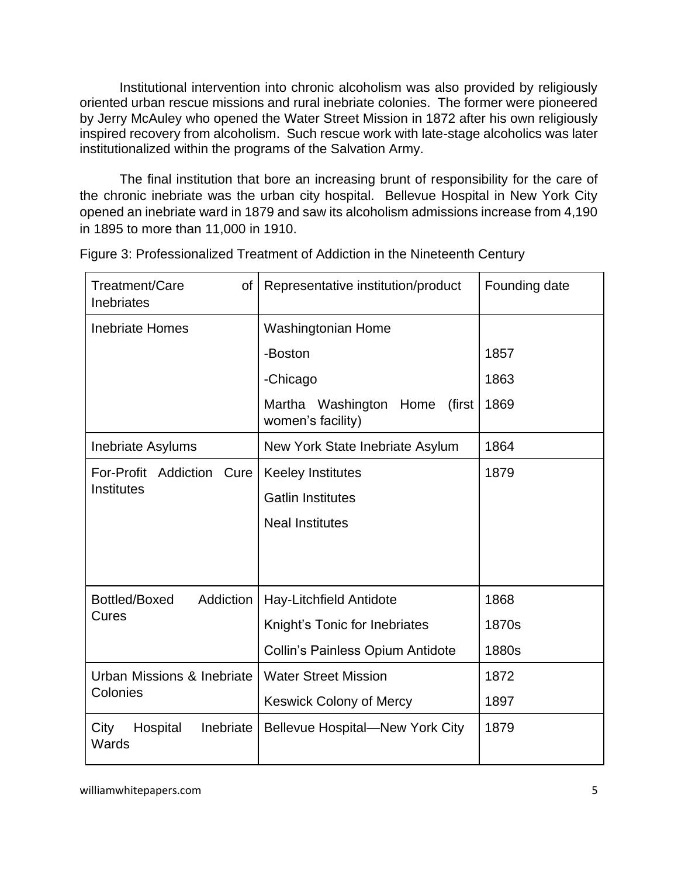Institutional intervention into chronic alcoholism was also provided by religiously oriented urban rescue missions and rural inebriate colonies. The former were pioneered by Jerry McAuley who opened the Water Street Mission in 1872 after his own religiously inspired recovery from alcoholism. Such rescue work with late-stage alcoholics was later institutionalized within the programs of the Salvation Army.

The final institution that bore an increasing brunt of responsibility for the care of the chronic inebriate was the urban city hospital. Bellevue Hospital in New York City opened an inebriate ward in 1879 and saw its alcoholism admissions increase from 4,190 in 1895 to more than 11,000 in 1910.

| Treatment/Care<br>οf<br>Inebriates         | Representative institution/product                       | Founding date |
|--------------------------------------------|----------------------------------------------------------|---------------|
| <b>Inebriate Homes</b>                     | Washingtonian Home                                       |               |
|                                            | -Boston                                                  | 1857          |
|                                            | -Chicago                                                 | 1863          |
|                                            | Martha Washington<br>Home<br>(first<br>women's facility) | 1869          |
| Inebriate Asylums                          | New York State Inebriate Asylum                          | 1864          |
| For-Profit Addiction<br>Cure<br>Institutes | <b>Keeley Institutes</b>                                 | 1879          |
|                                            | <b>Gatlin Institutes</b>                                 |               |
|                                            | <b>Neal Institutes</b>                                   |               |
|                                            |                                                          |               |
| Bottled/Boxed<br>Addiction                 | Hay-Litchfield Antidote                                  | 1868          |
| Cures                                      | Knight's Tonic for Inebriates                            | 1870s         |
|                                            | <b>Collin's Painless Opium Antidote</b>                  | 1880s         |
| Urban Missions & Inebriate<br>Colonies     | <b>Water Street Mission</b>                              | 1872          |
|                                            | <b>Keswick Colony of Mercy</b>                           | 1897          |
| City<br>Hospital<br>Inebriate<br>Wards     | <b>Bellevue Hospital-New York City</b>                   | 1879          |

Figure 3: Professionalized Treatment of Addiction in the Nineteenth Century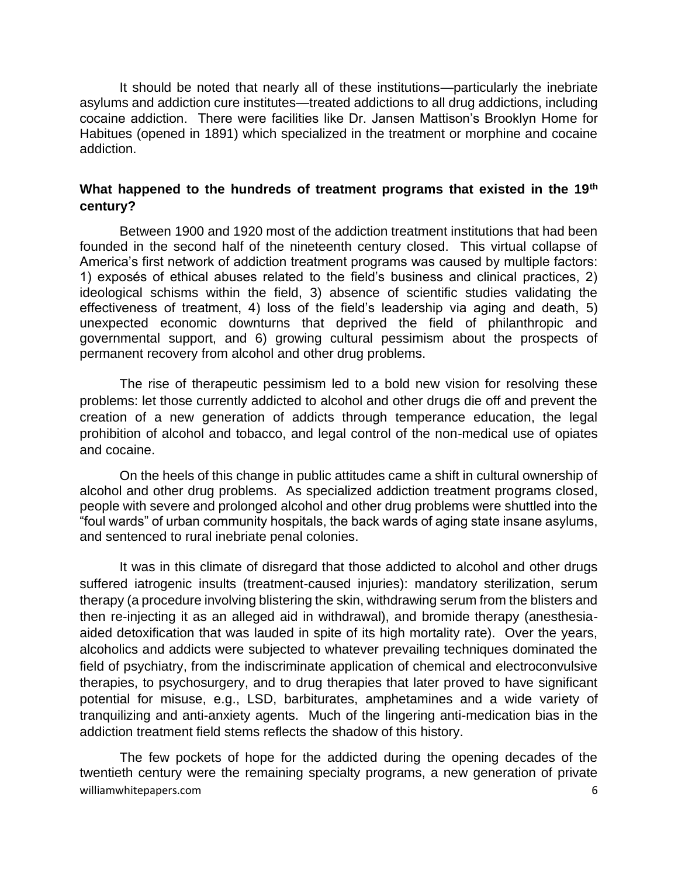It should be noted that nearly all of these institutions—particularly the inebriate asylums and addiction cure institutes—treated addictions to all drug addictions, including cocaine addiction. There were facilities like Dr. Jansen Mattison's Brooklyn Home for Habitues (opened in 1891) which specialized in the treatment or morphine and cocaine addiction.

# **What happened to the hundreds of treatment programs that existed in the 19th century?**

Between 1900 and 1920 most of the addiction treatment institutions that had been founded in the second half of the nineteenth century closed. This virtual collapse of America's first network of addiction treatment programs was caused by multiple factors: 1) exposés of ethical abuses related to the field's business and clinical practices, 2) ideological schisms within the field, 3) absence of scientific studies validating the effectiveness of treatment, 4) loss of the field's leadership via aging and death, 5) unexpected economic downturns that deprived the field of philanthropic and governmental support, and 6) growing cultural pessimism about the prospects of permanent recovery from alcohol and other drug problems.

The rise of therapeutic pessimism led to a bold new vision for resolving these problems: let those currently addicted to alcohol and other drugs die off and prevent the creation of a new generation of addicts through temperance education, the legal prohibition of alcohol and tobacco, and legal control of the non-medical use of opiates and cocaine.

On the heels of this change in public attitudes came a shift in cultural ownership of alcohol and other drug problems. As specialized addiction treatment programs closed, people with severe and prolonged alcohol and other drug problems were shuttled into the "foul wards" of urban community hospitals, the back wards of aging state insane asylums, and sentenced to rural inebriate penal colonies.

It was in this climate of disregard that those addicted to alcohol and other drugs suffered iatrogenic insults (treatment-caused injuries): mandatory sterilization, serum therapy (a procedure involving blistering the skin, withdrawing serum from the blisters and then re-injecting it as an alleged aid in withdrawal), and bromide therapy (anesthesiaaided detoxification that was lauded in spite of its high mortality rate). Over the years, alcoholics and addicts were subjected to whatever prevailing techniques dominated the field of psychiatry, from the indiscriminate application of chemical and electroconvulsive therapies, to psychosurgery, and to drug therapies that later proved to have significant potential for misuse, e.g., LSD, barbiturates, amphetamines and a wide variety of tranquilizing and anti-anxiety agents. Much of the lingering anti-medication bias in the addiction treatment field stems reflects the shadow of this history.

williamwhitepapers.com 6 The few pockets of hope for the addicted during the opening decades of the twentieth century were the remaining specialty programs, a new generation of private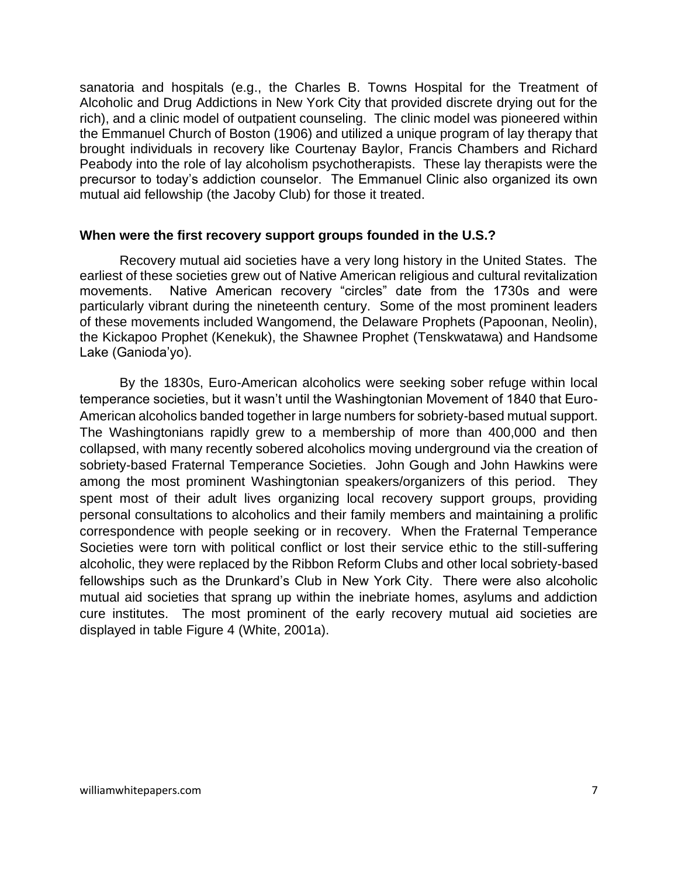sanatoria and hospitals (e.g., the Charles B. Towns Hospital for the Treatment of Alcoholic and Drug Addictions in New York City that provided discrete drying out for the rich), and a clinic model of outpatient counseling. The clinic model was pioneered within the Emmanuel Church of Boston (1906) and utilized a unique program of lay therapy that brought individuals in recovery like Courtenay Baylor, Francis Chambers and Richard Peabody into the role of lay alcoholism psychotherapists. These lay therapists were the precursor to today's addiction counselor. The Emmanuel Clinic also organized its own mutual aid fellowship (the Jacoby Club) for those it treated.

#### **When were the first recovery support groups founded in the U.S.?**

Recovery mutual aid societies have a very long history in the United States. The earliest of these societies grew out of Native American religious and cultural revitalization movements. Native American recovery "circles" date from the 1730s and were particularly vibrant during the nineteenth century. Some of the most prominent leaders of these movements included Wangomend, the Delaware Prophets (Papoonan, Neolin), the Kickapoo Prophet (Kenekuk), the Shawnee Prophet (Tenskwatawa) and Handsome Lake (Ganioda'yo).

By the 1830s, Euro-American alcoholics were seeking sober refuge within local temperance societies, but it wasn't until the Washingtonian Movement of 1840 that Euro-American alcoholics banded together in large numbers for sobriety-based mutual support. The Washingtonians rapidly grew to a membership of more than 400,000 and then collapsed, with many recently sobered alcoholics moving underground via the creation of sobriety-based Fraternal Temperance Societies. John Gough and John Hawkins were among the most prominent Washingtonian speakers/organizers of this period. They spent most of their adult lives organizing local recovery support groups, providing personal consultations to alcoholics and their family members and maintaining a prolific correspondence with people seeking or in recovery. When the Fraternal Temperance Societies were torn with political conflict or lost their service ethic to the still-suffering alcoholic, they were replaced by the Ribbon Reform Clubs and other local sobriety-based fellowships such as the Drunkard's Club in New York City. There were also alcoholic mutual aid societies that sprang up within the inebriate homes, asylums and addiction cure institutes. The most prominent of the early recovery mutual aid societies are displayed in table Figure 4 (White, 2001a).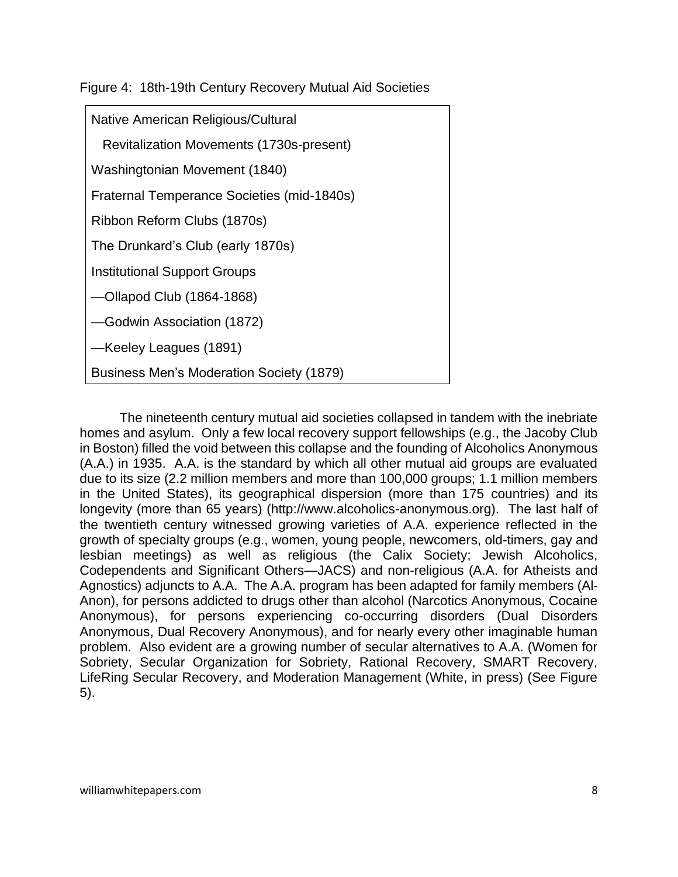Figure 4: 18th-19th Century Recovery Mutual Aid Societies

| Native American Religious/Cultural              |
|-------------------------------------------------|
| Revitalization Movements (1730s-present)        |
| Washingtonian Movement (1840)                   |
| Fraternal Temperance Societies (mid-1840s)      |
| Ribbon Reform Clubs (1870s)                     |
| The Drunkard's Club (early 1870s)               |
| <b>Institutional Support Groups</b>             |
| -Ollapod Club (1864-1868)                       |
| -Godwin Association (1872)                      |
| -Keeley Leagues (1891)                          |
| <b>Business Men's Moderation Society (1879)</b> |

The nineteenth century mutual aid societies collapsed in tandem with the inebriate homes and asylum. Only a few local recovery support fellowships (e.g., the Jacoby Club in Boston) filled the void between this collapse and the founding of Alcoholics Anonymous (A.A.) in 1935. A.A. is the standard by which all other mutual aid groups are evaluated due to its size (2.2 million members and more than 100,000 groups; 1.1 million members in the United States), its geographical dispersion (more than 175 countries) and its longevity (more than 65 years) (http://www.alcoholics-anonymous.org). The last half of the twentieth century witnessed growing varieties of A.A. experience reflected in the growth of specialty groups (e.g., women, young people, newcomers, old-timers, gay and lesbian meetings) as well as religious (the Calix Society; Jewish Alcoholics, Codependents and Significant Others—JACS) and non-religious (A.A. for Atheists and Agnostics) adjuncts to A.A. The A.A. program has been adapted for family members (Al-Anon), for persons addicted to drugs other than alcohol (Narcotics Anonymous, Cocaine Anonymous), for persons experiencing co-occurring disorders (Dual Disorders Anonymous, Dual Recovery Anonymous), and for nearly every other imaginable human problem. Also evident are a growing number of secular alternatives to A.A. (Women for Sobriety, Secular Organization for Sobriety, Rational Recovery, SMART Recovery, LifeRing Secular Recovery, and Moderation Management (White, in press) (See Figure 5).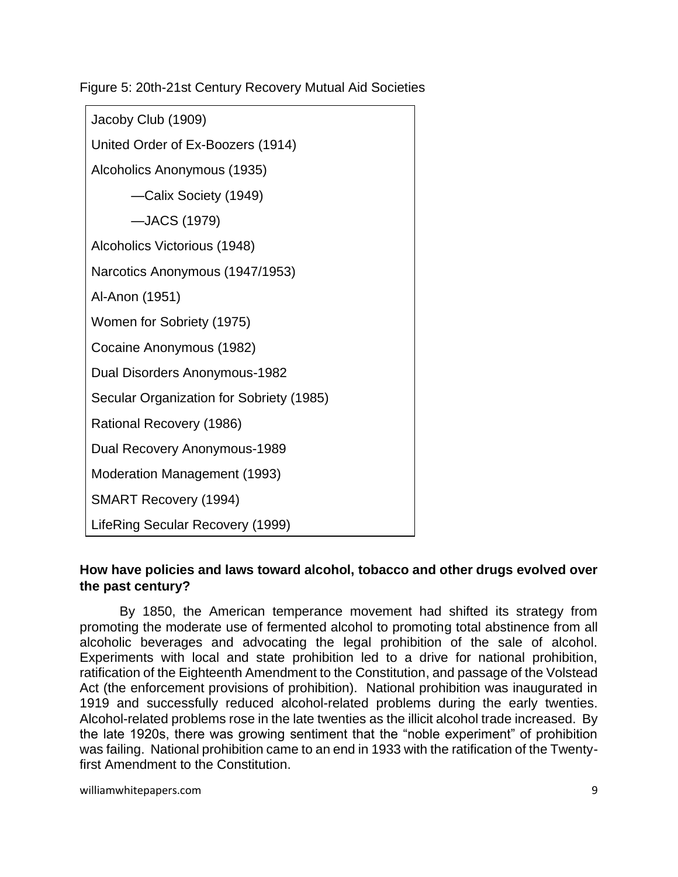Figure 5: 20th-21st Century Recovery Mutual Aid Societies

| Jacoby Club (1909)                       |
|------------------------------------------|
| United Order of Ex-Boozers (1914)        |
| Alcoholics Anonymous (1935)              |
| -Calix Society (1949)                    |
| -JACS (1979)                             |
| Alcoholics Victorious (1948)             |
| Narcotics Anonymous (1947/1953)          |
| Al-Anon (1951)                           |
| Women for Sobriety (1975)                |
| Cocaine Anonymous (1982)                 |
| Dual Disorders Anonymous-1982            |
| Secular Organization for Sobriety (1985) |
| Rational Recovery (1986)                 |
| Dual Recovery Anonymous-1989             |
| Moderation Management (1993)             |
| <b>SMART Recovery (1994)</b>             |
| LifeRing Secular Recovery (1999)         |

# **How have policies and laws toward alcohol, tobacco and other drugs evolved over the past century?**

By 1850, the American temperance movement had shifted its strategy from promoting the moderate use of fermented alcohol to promoting total abstinence from all alcoholic beverages and advocating the legal prohibition of the sale of alcohol. Experiments with local and state prohibition led to a drive for national prohibition, ratification of the Eighteenth Amendment to the Constitution, and passage of the Volstead Act (the enforcement provisions of prohibition). National prohibition was inaugurated in 1919 and successfully reduced alcohol-related problems during the early twenties. Alcohol-related problems rose in the late twenties as the illicit alcohol trade increased. By the late 1920s, there was growing sentiment that the "noble experiment" of prohibition was failing. National prohibition came to an end in 1933 with the ratification of the Twentyfirst Amendment to the Constitution.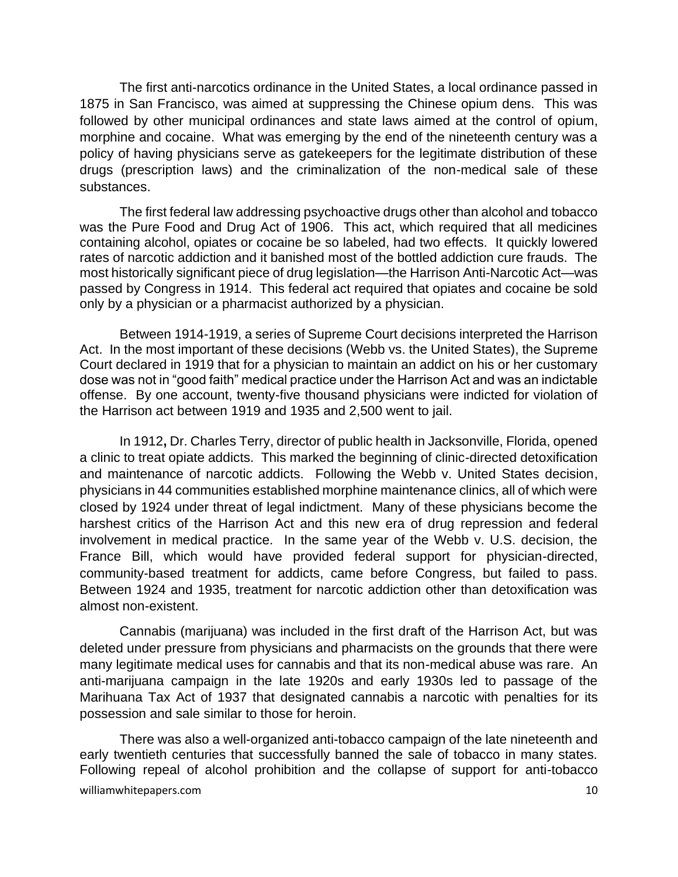The first anti-narcotics ordinance in the United States, a local ordinance passed in 1875 in San Francisco, was aimed at suppressing the Chinese opium dens. This was followed by other municipal ordinances and state laws aimed at the control of opium, morphine and cocaine. What was emerging by the end of the nineteenth century was a policy of having physicians serve as gatekeepers for the legitimate distribution of these drugs (prescription laws) and the criminalization of the non-medical sale of these substances.

The first federal law addressing psychoactive drugs other than alcohol and tobacco was the Pure Food and Drug Act of 1906. This act, which required that all medicines containing alcohol, opiates or cocaine be so labeled, had two effects. It quickly lowered rates of narcotic addiction and it banished most of the bottled addiction cure frauds. The most historically significant piece of drug legislation—the Harrison Anti-Narcotic Act—was passed by Congress in 1914. This federal act required that opiates and cocaine be sold only by a physician or a pharmacist authorized by a physician.

Between 1914-1919, a series of Supreme Court decisions interpreted the Harrison Act. In the most important of these decisions (Webb vs. the United States), the Supreme Court declared in 1919 that for a physician to maintain an addict on his or her customary dose was not in "good faith" medical practice under the Harrison Act and was an indictable offense. By one account, twenty-five thousand physicians were indicted for violation of the Harrison act between 1919 and 1935 and 2,500 went to jail.

In 1912**,** Dr. Charles Terry, director of public health in Jacksonville, Florida, opened a clinic to treat opiate addicts. This marked the beginning of clinic-directed detoxification and maintenance of narcotic addicts. Following the Webb v. United States decision, physicians in 44 communities established morphine maintenance clinics, all of which were closed by 1924 under threat of legal indictment. Many of these physicians become the harshest critics of the Harrison Act and this new era of drug repression and federal involvement in medical practice. In the same year of the Webb v. U.S. decision, the France Bill, which would have provided federal support for physician-directed, community-based treatment for addicts, came before Congress, but failed to pass. Between 1924 and 1935, treatment for narcotic addiction other than detoxification was almost non-existent.

Cannabis (marijuana) was included in the first draft of the Harrison Act, but was deleted under pressure from physicians and pharmacists on the grounds that there were many legitimate medical uses for cannabis and that its non-medical abuse was rare. An anti-marijuana campaign in the late 1920s and early 1930s led to passage of the Marihuana Tax Act of 1937 that designated cannabis a narcotic with penalties for its possession and sale similar to those for heroin.

williamwhitepapers.com and the state of the state of the state of the state of the state of the state of the state of the state of the state of the state of the state of the state of the state of the state of the state of There was also a well-organized anti-tobacco campaign of the late nineteenth and early twentieth centuries that successfully banned the sale of tobacco in many states. Following repeal of alcohol prohibition and the collapse of support for anti-tobacco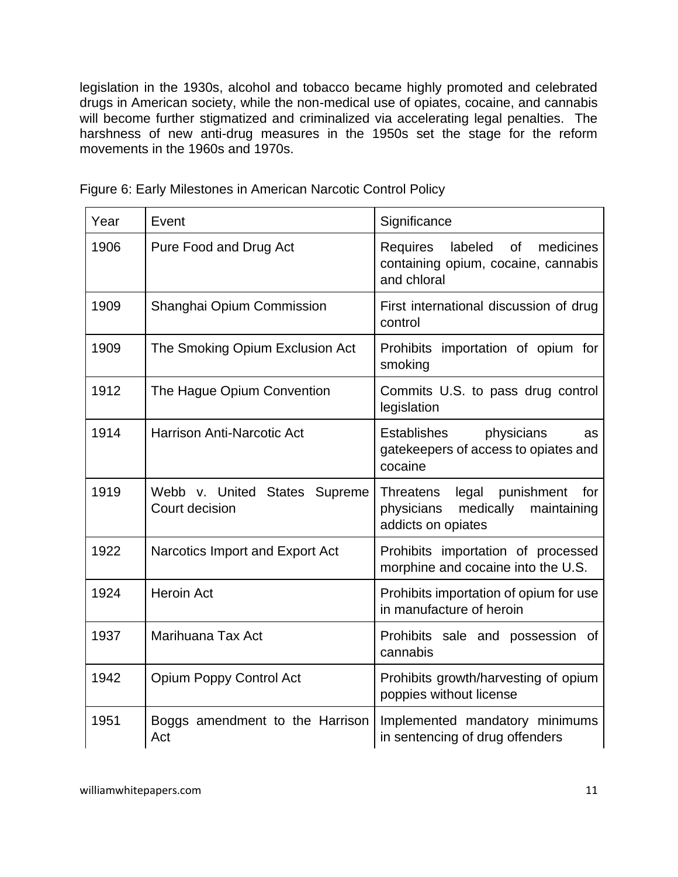legislation in the 1930s, alcohol and tobacco became highly promoted and celebrated drugs in American society, while the non-medical use of opiates, cocaine, and cannabis will become further stigmatized and criminalized via accelerating legal penalties. The harshness of new anti-drug measures in the 1950s set the stage for the reform movements in the 1960s and 1970s.

| Year | Event                                           | Significance                                                                                         |
|------|-------------------------------------------------|------------------------------------------------------------------------------------------------------|
| 1906 | Pure Food and Drug Act                          | medicines<br>labeled<br>of<br>Requires<br>containing opium, cocaine, cannabis<br>and chloral         |
| 1909 | Shanghai Opium Commission                       | First international discussion of drug<br>control                                                    |
| 1909 | The Smoking Opium Exclusion Act                 | Prohibits importation of opium for<br>smoking                                                        |
| 1912 | The Hague Opium Convention                      | Commits U.S. to pass drug control<br>legislation                                                     |
| 1914 | <b>Harrison Anti-Narcotic Act</b>               | <b>Establishes</b><br>physicians<br><b>as</b><br>gatekeepers of access to opiates and<br>cocaine     |
| 1919 | Webb v. United States Supreme<br>Court decision | Threatens<br>legal punishment<br>for<br>physicians<br>medically<br>maintaining<br>addicts on opiates |
| 1922 | Narcotics Import and Export Act                 | Prohibits importation of processed<br>morphine and cocaine into the U.S.                             |
| 1924 | <b>Heroin Act</b>                               | Prohibits importation of opium for use<br>in manufacture of heroin                                   |
| 1937 | Marihuana Tax Act                               | Prohibits sale and possession of<br>cannabis                                                         |
| 1942 | <b>Opium Poppy Control Act</b>                  | Prohibits growth/harvesting of opium<br>poppies without license                                      |
| 1951 | Boggs amendment to the Harrison<br>Act          | Implemented mandatory minimums<br>in sentencing of drug offenders                                    |

Figure 6: Early Milestones in American Narcotic Control Policy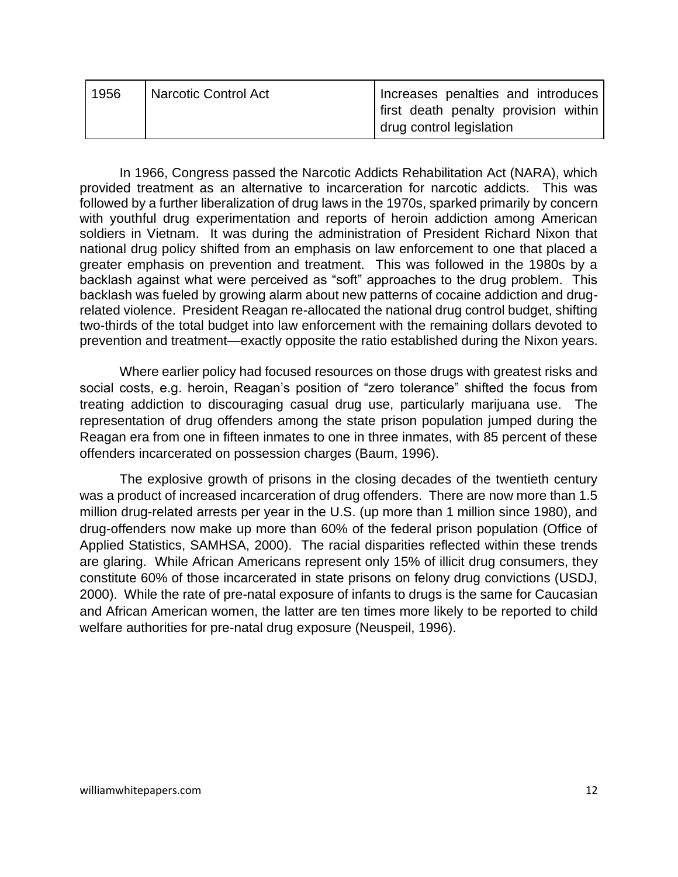| 1956 | <b>Narcotic Control Act</b> | Increases penalties and introduces                                 |
|------|-----------------------------|--------------------------------------------------------------------|
|      |                             | l first death penalty provision within<br>drug control legislation |

In 1966, Congress passed the Narcotic Addicts Rehabilitation Act (NARA), which provided treatment as an alternative to incarceration for narcotic addicts. This was followed by a further liberalization of drug laws in the 1970s, sparked primarily by concern with youthful drug experimentation and reports of heroin addiction among American soldiers in Vietnam. It was during the administration of President Richard Nixon that national drug policy shifted from an emphasis on law enforcement to one that placed a greater emphasis on prevention and treatment. This was followed in the 1980s by a backlash against what were perceived as "soft" approaches to the drug problem. This backlash was fueled by growing alarm about new patterns of cocaine addiction and drugrelated violence. President Reagan re-allocated the national drug control budget, shifting two-thirds of the total budget into law enforcement with the remaining dollars devoted to prevention and treatment—exactly opposite the ratio established during the Nixon years.

Where earlier policy had focused resources on those drugs with greatest risks and social costs, e.g. heroin, Reagan's position of "zero tolerance" shifted the focus from treating addiction to discouraging casual drug use, particularly marijuana use. The representation of drug offenders among the state prison population jumped during the Reagan era from one in fifteen inmates to one in three inmates, with 85 percent of these offenders incarcerated on possession charges (Baum, 1996).

The explosive growth of prisons in the closing decades of the twentieth century was a product of increased incarceration of drug offenders. There are now more than 1.5 million drug-related arrests per year in the U.S. (up more than 1 million since 1980), and drug-offenders now make up more than 60% of the federal prison population (Office of Applied Statistics, SAMHSA, 2000). The racial disparities reflected within these trends are glaring. While African Americans represent only 15% of illicit drug consumers, they constitute 60% of those incarcerated in state prisons on felony drug convictions (USDJ, 2000). While the rate of pre-natal exposure of infants to drugs is the same for Caucasian and African American women, the latter are ten times more likely to be reported to child welfare authorities for pre-natal drug exposure (Neuspeil, 1996).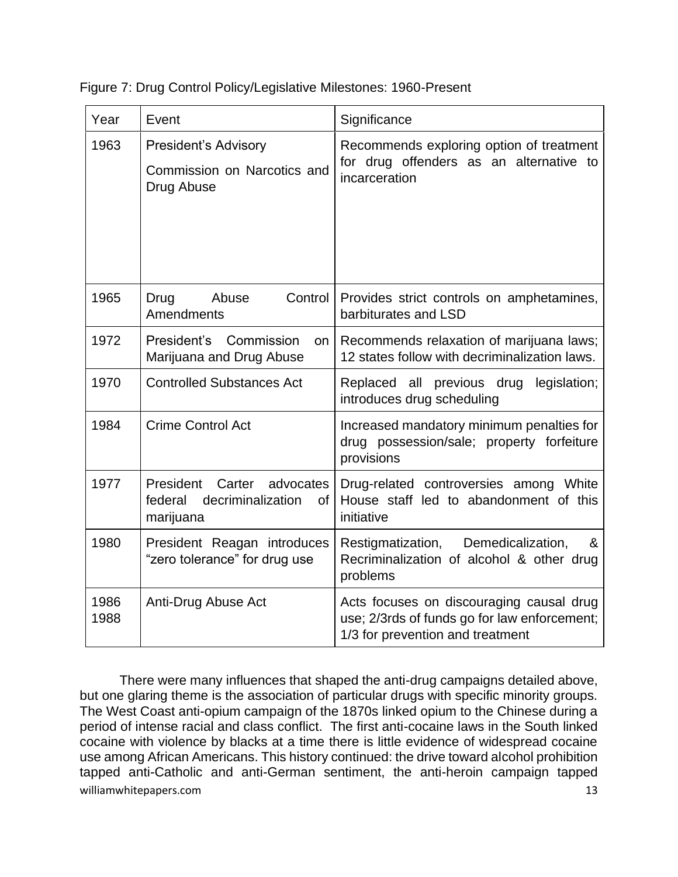| Year         | Event                                                                                   | Significance                                                                                                                 |
|--------------|-----------------------------------------------------------------------------------------|------------------------------------------------------------------------------------------------------------------------------|
| 1963         | <b>President's Advisory</b><br>Commission on Narcotics and<br>Drug Abuse                | Recommends exploring option of treatment<br>for drug offenders as an alternative to<br>incarceration                         |
| 1965         | Abuse<br>Control<br>Drug<br>Amendments                                                  | Provides strict controls on amphetamines,<br>barbiturates and LSD                                                            |
| 1972         | President's Commission<br>on<br>Marijuana and Drug Abuse                                | Recommends relaxation of marijuana laws;<br>12 states follow with decriminalization laws.                                    |
| 1970         | <b>Controlled Substances Act</b>                                                        | Replaced all previous drug legislation;<br>introduces drug scheduling                                                        |
| 1984         | <b>Crime Control Act</b>                                                                | Increased mandatory minimum penalties for<br>drug possession/sale; property forfeiture<br>provisions                         |
| 1977         | President Carter<br>advocates<br>decriminalization<br>federal<br><b>of</b><br>marijuana | Drug-related controversies among White<br>House staff led to abandonment of this<br>initiative                               |
| 1980         | President Reagan introduces<br>"zero tolerance" for drug use                            | Restigmatization, Demedicalization,<br>&<br>Recriminalization of alcohol & other drug<br>problems                            |
| 1986<br>1988 | Anti-Drug Abuse Act                                                                     | Acts focuses on discouraging causal drug<br>use; 2/3rds of funds go for law enforcement;<br>1/3 for prevention and treatment |

Figure 7: Drug Control Policy/Legislative Milestones: 1960-Present

williamwhitepapers.com 13 There were many influences that shaped the anti-drug campaigns detailed above, but one glaring theme is the association of particular drugs with specific minority groups. The West Coast anti-opium campaign of the 1870s linked opium to the Chinese during a period of intense racial and class conflict. The first anti-cocaine laws in the South linked cocaine with violence by blacks at a time there is little evidence of widespread cocaine use among African Americans. This history continued: the drive toward alcohol prohibition tapped anti-Catholic and anti-German sentiment, the anti-heroin campaign tapped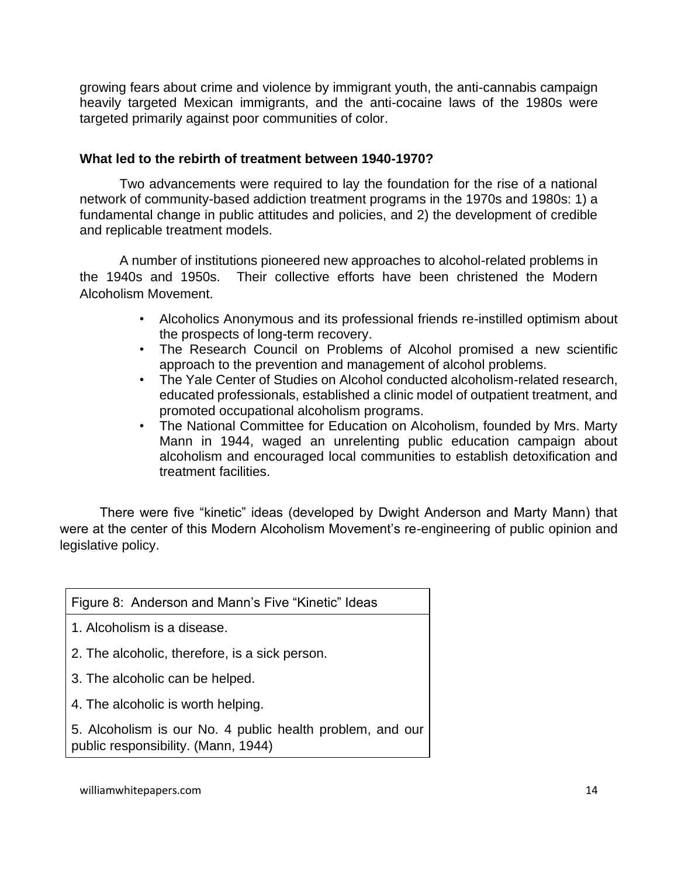growing fears about crime and violence by immigrant youth, the anti-cannabis campaign heavily targeted Mexican immigrants, and the anti-cocaine laws of the 1980s were targeted primarily against poor communities of color.

### **What led to the rebirth of treatment between 1940-1970?**

Two advancements were required to lay the foundation for the rise of a national network of community-based addiction treatment programs in the 1970s and 1980s: 1) a fundamental change in public attitudes and policies, and 2) the development of credible and replicable treatment models.

A number of institutions pioneered new approaches to alcohol-related problems in the 1940s and 1950s. Their collective efforts have been christened the Modern Alcoholism Movement.

- Alcoholics Anonymous and its professional friends re-instilled optimism about the prospects of long-term recovery.
- The Research Council on Problems of Alcohol promised a new scientific approach to the prevention and management of alcohol problems.
- The Yale Center of Studies on Alcohol conducted alcoholism-related research, educated professionals, established a clinic model of outpatient treatment, and promoted occupational alcoholism programs.
- The National Committee for Education on Alcoholism, founded by Mrs. Marty Mann in 1944, waged an unrelenting public education campaign about alcoholism and encouraged local communities to establish detoxification and treatment facilities.

There were five "kinetic" ideas (developed by Dwight Anderson and Marty Mann) that were at the center of this Modern Alcoholism Movement's re-engineering of public opinion and legislative policy.

| Figure 8: Anderson and Mann's Five "Kinetic" Ideas                                               |  |
|--------------------------------------------------------------------------------------------------|--|
| 1. Alcoholism is a disease.                                                                      |  |
| 2. The alcoholic, therefore, is a sick person.                                                   |  |
| 3. The alcoholic can be helped.                                                                  |  |
| 4. The alcoholic is worth helping.                                                               |  |
| 5. Alcoholism is our No. 4 public health problem, and our<br>public responsibility. (Mann, 1944) |  |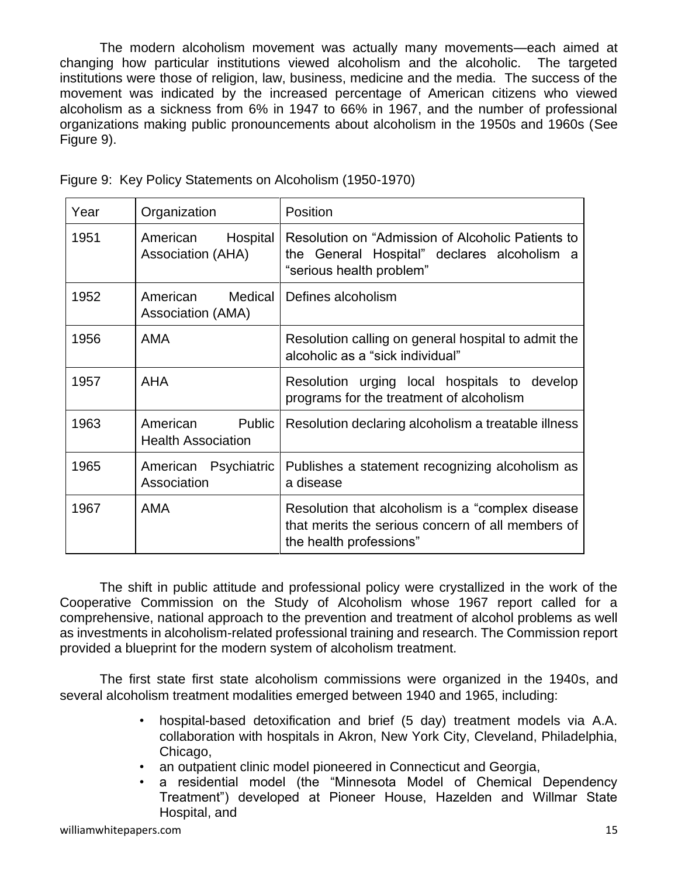The modern alcoholism movement was actually many movements—each aimed at changing how particular institutions viewed alcoholism and the alcoholic. The targeted institutions were those of religion, law, business, medicine and the media. The success of the movement was indicated by the increased percentage of American citizens who viewed alcoholism as a sickness from 6% in 1947 to 66% in 1967, and the number of professional organizations making public pronouncements about alcoholism in the 1950s and 1960s (See Figure 9).

| Year | Organization                                    | Position                                                                                                                          |
|------|-------------------------------------------------|-----------------------------------------------------------------------------------------------------------------------------------|
| 1951 | Hospital<br>American<br>Association (AHA)       | Resolution on "Admission of Alcoholic Patients to<br>the General Hospital" declares alcoholism a<br>"serious health problem"      |
| 1952 | American<br>Medical<br>Association (AMA)        | Defines alcoholism                                                                                                                |
| 1956 | <b>AMA</b>                                      | Resolution calling on general hospital to admit the<br>alcoholic as a "sick individual"                                           |
| 1957 | <b>AHA</b>                                      | Resolution urging local hospitals to develop<br>programs for the treatment of alcoholism                                          |
| 1963 | Public<br>American<br><b>Health Association</b> | Resolution declaring alcoholism a treatable illness                                                                               |
| 1965 | Psychiatric<br>American<br>Association          | Publishes a statement recognizing alcoholism as<br>a disease                                                                      |
| 1967 | <b>AMA</b>                                      | Resolution that alcoholism is a "complex disease"<br>that merits the serious concern of all members of<br>the health professions" |

Figure 9: Key Policy Statements on Alcoholism (1950-1970)

The shift in public attitude and professional policy were crystallized in the work of the Cooperative Commission on the Study of Alcoholism whose 1967 report called for a comprehensive, national approach to the prevention and treatment of alcohol problems as well as investments in alcoholism-related professional training and research. The Commission report provided a blueprint for the modern system of alcoholism treatment.

The first state first state alcoholism commissions were organized in the 1940s, and several alcoholism treatment modalities emerged between 1940 and 1965, including:

- hospital-based detoxification and brief (5 day) treatment models via A.A. collaboration with hospitals in Akron, New York City, Cleveland, Philadelphia, Chicago,
- an outpatient clinic model pioneered in Connecticut and Georgia,
- a residential model (the "Minnesota Model of Chemical Dependency Treatment") developed at Pioneer House, Hazelden and Willmar State Hospital, and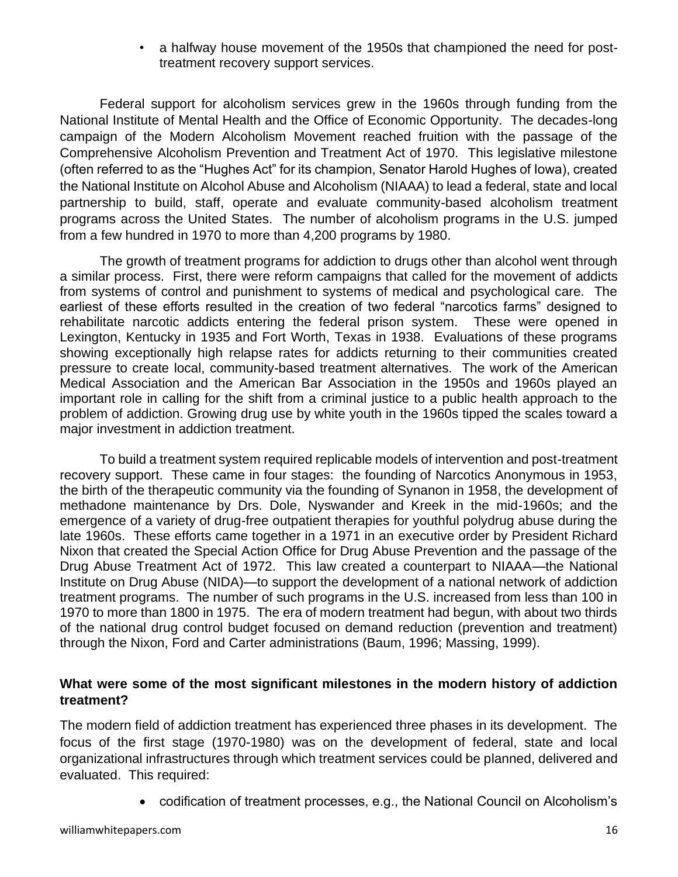• a halfway house movement of the 1950s that championed the need for posttreatment recovery support services.

Federal support for alcoholism services grew in the 1960s through funding from the National Institute of Mental Health and the Office of Economic Opportunity. The decades-long campaign of the Modern Alcoholism Movement reached fruition with the passage of the Comprehensive Alcoholism Prevention and Treatment Act of 1970. This legislative milestone (often referred to as the "Hughes Act" for its champion, Senator Harold Hughes of Iowa), created the National Institute on Alcohol Abuse and Alcoholism (NIAAA) to lead a federal, state and local partnership to build, staff, operate and evaluate community-based alcoholism treatment programs across the United States. The number of alcoholism programs in the U.S. jumped from a few hundred in 1970 to more than 4,200 programs by 1980.

The growth of treatment programs for addiction to drugs other than alcohol went through a similar process. First, there were reform campaigns that called for the movement of addicts from systems of control and punishment to systems of medical and psychological care. The earliest of these efforts resulted in the creation of two federal "narcotics farms" designed to rehabilitate narcotic addicts entering the federal prison system. These were opened in Lexington, Kentucky in 1935 and Fort Worth, Texas in 1938. Evaluations of these programs showing exceptionally high relapse rates for addicts returning to their communities created pressure to create local, community-based treatment alternatives. The work of the American Medical Association and the American Bar Association in the 1950s and 1960s played an important role in calling for the shift from a criminal justice to a public health approach to the problem of addiction. Growing drug use by white youth in the 1960s tipped the scales toward a major investment in addiction treatment.

To build a treatment system required replicable models of intervention and post-treatment recovery support. These came in four stages: the founding of Narcotics Anonymous in 1953, the birth of the therapeutic community via the founding of Synanon in 1958, the development of methadone maintenance by Drs. Dole, Nyswander and Kreek in the mid-1960s; and the emergence of a variety of drug-free outpatient therapies for youthful polydrug abuse during the late 1960s. These efforts came together in a 1971 in an executive order by President Richard Nixon that created the Special Action Office for Drug Abuse Prevention and the passage of the Drug Abuse Treatment Act of 1972. This law created a counterpart to NIAAA—the National Institute on Drug Abuse (NIDA)—to support the development of a national network of addiction treatment programs. The number of such programs in the U.S. increased from less than 100 in 1970 to more than 1800 in 1975. The era of modern treatment had begun, with about two thirds of the national drug control budget focused on demand reduction (prevention and treatment) through the Nixon, Ford and Carter administrations (Baum, 1996; Massing, 1999).

# **What were some of the most significant milestones in the modern history of addiction treatment?**

The modern field of addiction treatment has experienced three phases in its development. The focus of the first stage (1970-1980) was on the development of federal, state and local organizational infrastructures through which treatment services could be planned, delivered and evaluated. This required:

• codification of treatment processes, e.g., the National Council on Alcoholism's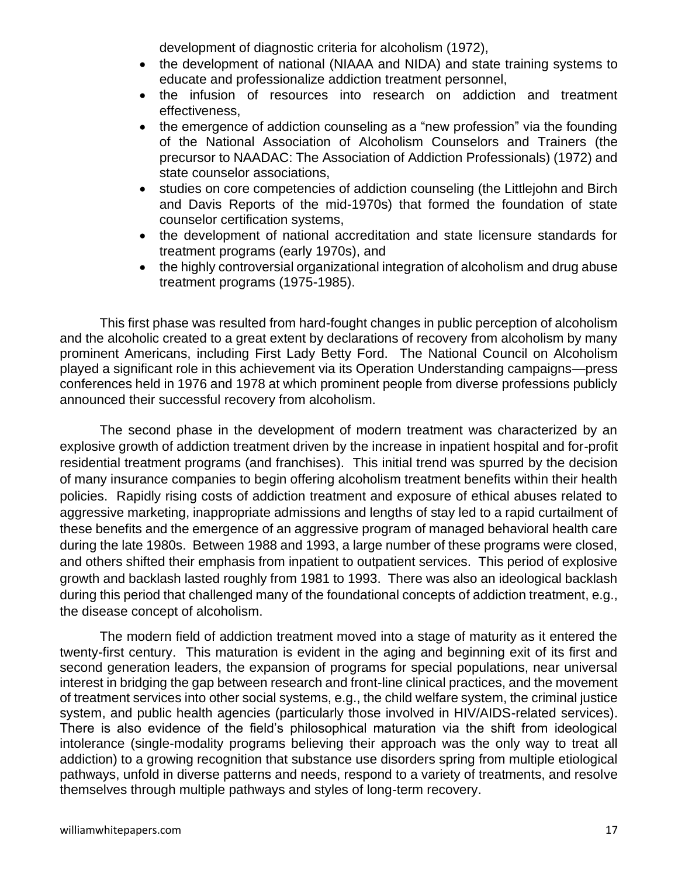development of diagnostic criteria for alcoholism (1972),

- the development of national (NIAAA and NIDA) and state training systems to educate and professionalize addiction treatment personnel,
- the infusion of resources into research on addiction and treatment effectiveness,
- the emergence of addiction counseling as a "new profession" via the founding of the National Association of Alcoholism Counselors and Trainers (the precursor to NAADAC: The Association of Addiction Professionals) (1972) and state counselor associations,
- studies on core competencies of addiction counseling (the Littlejohn and Birch and Davis Reports of the mid-1970s) that formed the foundation of state counselor certification systems,
- the development of national accreditation and state licensure standards for treatment programs (early 1970s), and
- the highly controversial organizational integration of alcoholism and drug abuse treatment programs (1975-1985).

This first phase was resulted from hard-fought changes in public perception of alcoholism and the alcoholic created to a great extent by declarations of recovery from alcoholism by many prominent Americans, including First Lady Betty Ford. The National Council on Alcoholism played a significant role in this achievement via its Operation Understanding campaigns—press conferences held in 1976 and 1978 at which prominent people from diverse professions publicly announced their successful recovery from alcoholism.

The second phase in the development of modern treatment was characterized by an explosive growth of addiction treatment driven by the increase in inpatient hospital and for-profit residential treatment programs (and franchises). This initial trend was spurred by the decision of many insurance companies to begin offering alcoholism treatment benefits within their health policies. Rapidly rising costs of addiction treatment and exposure of ethical abuses related to aggressive marketing, inappropriate admissions and lengths of stay led to a rapid curtailment of these benefits and the emergence of an aggressive program of managed behavioral health care during the late 1980s. Between 1988 and 1993, a large number of these programs were closed, and others shifted their emphasis from inpatient to outpatient services. This period of explosive growth and backlash lasted roughly from 1981 to 1993. There was also an ideological backlash during this period that challenged many of the foundational concepts of addiction treatment, e.g., the disease concept of alcoholism.

The modern field of addiction treatment moved into a stage of maturity as it entered the twenty-first century. This maturation is evident in the aging and beginning exit of its first and second generation leaders, the expansion of programs for special populations, near universal interest in bridging the gap between research and front-line clinical practices, and the movement of treatment services into other social systems, e.g., the child welfare system, the criminal justice system, and public health agencies (particularly those involved in HIV/AIDS-related services). There is also evidence of the field's philosophical maturation via the shift from ideological intolerance (single-modality programs believing their approach was the only way to treat all addiction) to a growing recognition that substance use disorders spring from multiple etiological pathways, unfold in diverse patterns and needs, respond to a variety of treatments, and resolve themselves through multiple pathways and styles of long-term recovery.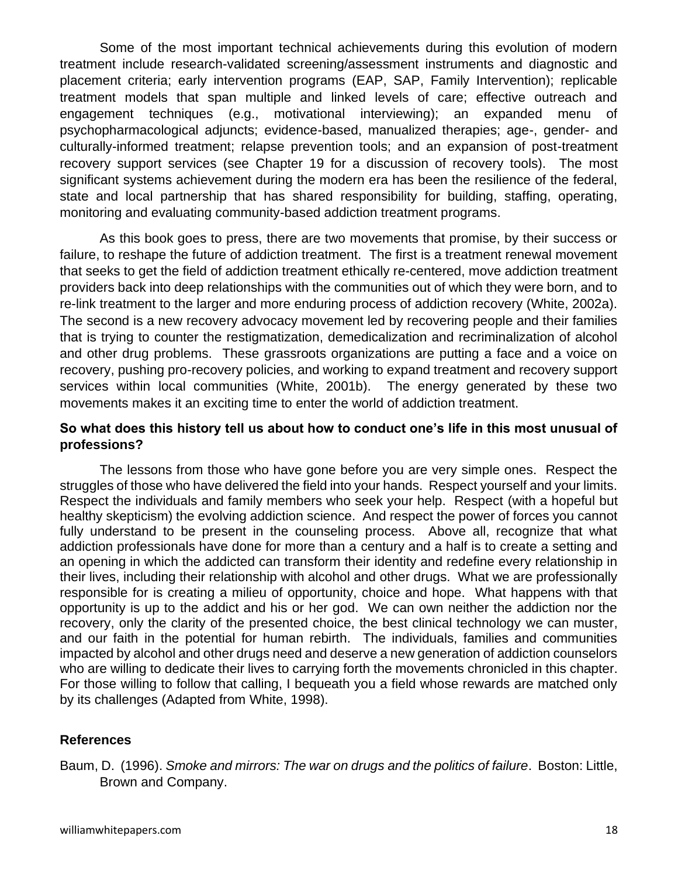Some of the most important technical achievements during this evolution of modern treatment include research-validated screening/assessment instruments and diagnostic and placement criteria; early intervention programs (EAP, SAP, Family Intervention); replicable treatment models that span multiple and linked levels of care; effective outreach and engagement techniques (e.g., motivational interviewing); an expanded menu of psychopharmacological adjuncts; evidence-based, manualized therapies; age-, gender- and culturally-informed treatment; relapse prevention tools; and an expansion of post-treatment recovery support services (see Chapter 19 for a discussion of recovery tools). The most significant systems achievement during the modern era has been the resilience of the federal, state and local partnership that has shared responsibility for building, staffing, operating, monitoring and evaluating community-based addiction treatment programs.

As this book goes to press, there are two movements that promise, by their success or failure, to reshape the future of addiction treatment. The first is a treatment renewal movement that seeks to get the field of addiction treatment ethically re-centered, move addiction treatment providers back into deep relationships with the communities out of which they were born, and to re-link treatment to the larger and more enduring process of addiction recovery (White, 2002a). The second is a new recovery advocacy movement led by recovering people and their families that is trying to counter the restigmatization, demedicalization and recriminalization of alcohol and other drug problems. These grassroots organizations are putting a face and a voice on recovery, pushing pro-recovery policies, and working to expand treatment and recovery support services within local communities (White, 2001b). The energy generated by these two movements makes it an exciting time to enter the world of addiction treatment.

# **So what does this history tell us about how to conduct one's life in this most unusual of professions?**

The lessons from those who have gone before you are very simple ones. Respect the struggles of those who have delivered the field into your hands. Respect yourself and your limits. Respect the individuals and family members who seek your help. Respect (with a hopeful but healthy skepticism) the evolving addiction science. And respect the power of forces you cannot fully understand to be present in the counseling process. Above all, recognize that what addiction professionals have done for more than a century and a half is to create a setting and an opening in which the addicted can transform their identity and redefine every relationship in their lives, including their relationship with alcohol and other drugs. What we are professionally responsible for is creating a milieu of opportunity, choice and hope. What happens with that opportunity is up to the addict and his or her god. We can own neither the addiction nor the recovery, only the clarity of the presented choice, the best clinical technology we can muster, and our faith in the potential for human rebirth. The individuals, families and communities impacted by alcohol and other drugs need and deserve a new generation of addiction counselors who are willing to dedicate their lives to carrying forth the movements chronicled in this chapter. For those willing to follow that calling, I bequeath you a field whose rewards are matched only by its challenges (Adapted from White, 1998).

# **References**

Baum, D. (1996). *Smoke and mirrors: The war on drugs and the politics of failure*. Boston: Little, Brown and Company.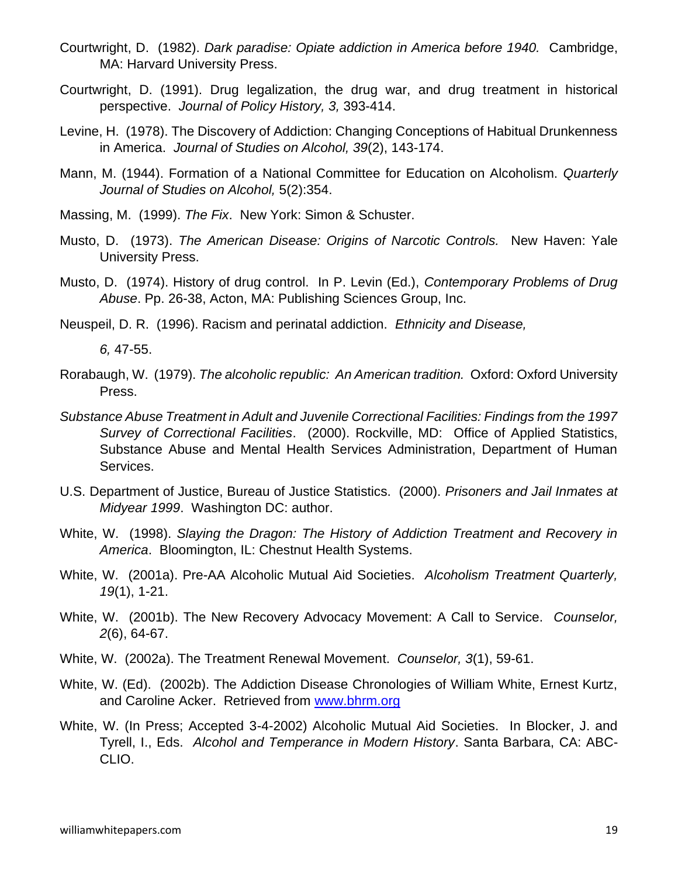- Courtwright, D. (1982). *Dark paradise: Opiate addiction in America before 1940.* Cambridge, MA: Harvard University Press.
- Courtwright, D. (1991). Drug legalization, the drug war, and drug treatment in historical perspective. *Journal of Policy History, 3,* 393-414.
- Levine, H. (1978). The Discovery of Addiction: Changing Conceptions of Habitual Drunkenness in America. *Journal of Studies on Alcohol, 39*(2), 143-174.
- Mann, M. (1944). Formation of a National Committee for Education on Alcoholism. *Quarterly Journal of Studies on Alcohol,* 5(2):354.
- Massing, M. (1999). *The Fix*. New York: Simon & Schuster.
- Musto, D. (1973). *The American Disease: Origins of Narcotic Controls.* New Haven: Yale University Press.
- Musto, D. (1974). History of drug control. In P. Levin (Ed.), *Contemporary Problems of Drug Abuse*. Pp. 26-38, Acton, MA: Publishing Sciences Group, Inc.
- Neuspeil, D. R. (1996). Racism and perinatal addiction. *Ethnicity and Disease,*

*6,* 47-55.

- Rorabaugh, W. (1979). *The alcoholic republic: An American tradition.* Oxford: Oxford University Press.
- *Substance Abuse Treatment in Adult and Juvenile Correctional Facilities: Findings from the 1997 Survey of Correctional Facilities*. (2000). Rockville, MD: Office of Applied Statistics, Substance Abuse and Mental Health Services Administration, Department of Human Services.
- U.S. Department of Justice, Bureau of Justice Statistics. (2000). *Prisoners and Jail Inmates at Midyear 1999*. Washington DC: author.
- White, W. (1998). *Slaying the Dragon: The History of Addiction Treatment and Recovery in America*. Bloomington, IL: Chestnut Health Systems.
- White, W. (2001a). Pre-AA Alcoholic Mutual Aid Societies. *Alcoholism Treatment Quarterly, 19*(1), 1-21.
- White, W. (2001b). The New Recovery Advocacy Movement: A Call to Service. *Counselor, 2*(6), 64-67.
- White, W. (2002a). The Treatment Renewal Movement. *Counselor, 3*(1), 59-61.
- White, W. (Ed). (2002b). The Addiction Disease Chronologies of William White, Ernest Kurtz, and Caroline Acker. Retrieved from [www.bhrm.org](http://www.bhrm.org/)
- White, W. (In Press; Accepted 3-4-2002) Alcoholic Mutual Aid Societies. In Blocker, J. and Tyrell, I., Eds. *Alcohol and Temperance in Modern History*. Santa Barbara, CA: ABC-CLIO.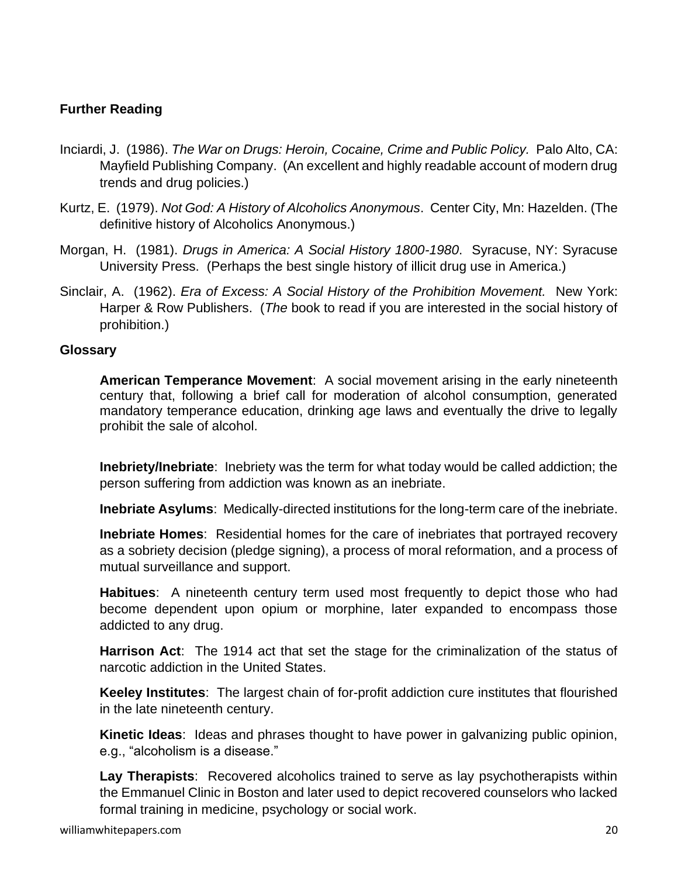# **Further Reading**

- Inciardi, J. (1986). *The War on Drugs: Heroin, Cocaine, Crime and Public Policy.* Palo Alto, CA: Mayfield Publishing Company. (An excellent and highly readable account of modern drug trends and drug policies.)
- Kurtz, E. (1979). *Not God: A History of Alcoholics Anonymous*. Center City, Mn: Hazelden. (The definitive history of Alcoholics Anonymous.)
- Morgan, H. (1981). *Drugs in America: A Social History 1800-1980*. Syracuse, NY: Syracuse University Press. (Perhaps the best single history of illicit drug use in America.)
- Sinclair, A. (1962). *Era of Excess: A Social History of the Prohibition Movement.* New York: Harper & Row Publishers. (*The* book to read if you are interested in the social history of prohibition.)

# **Glossary**

**American Temperance Movement**: A social movement arising in the early nineteenth century that, following a brief call for moderation of alcohol consumption, generated mandatory temperance education, drinking age laws and eventually the drive to legally prohibit the sale of alcohol.

**Inebriety/Inebriate**: Inebriety was the term for what today would be called addiction; the person suffering from addiction was known as an inebriate.

**Inebriate Asylums**: Medically-directed institutions for the long-term care of the inebriate.

**Inebriate Homes**: Residential homes for the care of inebriates that portrayed recovery as a sobriety decision (pledge signing), a process of moral reformation, and a process of mutual surveillance and support.

**Habitues**: A nineteenth century term used most frequently to depict those who had become dependent upon opium or morphine, later expanded to encompass those addicted to any drug.

**Harrison Act**: The 1914 act that set the stage for the criminalization of the status of narcotic addiction in the United States.

**Keeley Institutes**: The largest chain of for-profit addiction cure institutes that flourished in the late nineteenth century.

**Kinetic Ideas**: Ideas and phrases thought to have power in galvanizing public opinion, e.g., "alcoholism is a disease."

**Lay Therapists**: Recovered alcoholics trained to serve as lay psychotherapists within the Emmanuel Clinic in Boston and later used to depict recovered counselors who lacked formal training in medicine, psychology or social work.